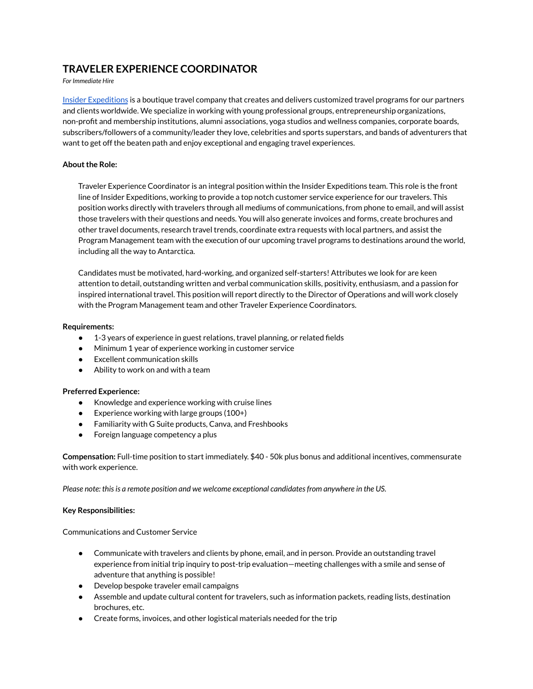# **TRAVELER EXPERIENCE COORDINATOR**

*For Immediate Hire*

Insider [Expeditions](https://insiderexpeditions.com/) is a boutique travel company that creates and delivers customized travel programs for our partners and clients worldwide. We specialize in working with young professional groups, entrepreneurship organizations, non-profit and membership institutions, alumni associations, yoga studios and wellness companies, corporate boards, subscribers/followers of a community/leader they love, celebrities and sports superstars, and bands of adventurers that want to get off the beaten path and enjoy exceptional and engaging travel experiences.

## **About the Role:**

Traveler Experience Coordinator is an integral position within the Insider Expeditions team. This role is the front line of Insider Expeditions, working to provide a top notch customer service experience for our travelers. This position works directly with travelers through all mediums of communications, from phone to email, and will assist those travelers with their questions and needs. You will also generate invoices and forms, create brochures and other travel documents, research travel trends, coordinate extra requests with local partners, and assist the Program Management team with the execution of our upcoming travel programs to destinations around the world, including all the way to Antarctica.

Candidates must be motivated, hard-working, and organized self-starters! Attributes we look for are keen attention to detail, outstanding written and verbal communication skills, positivity, enthusiasm, and a passion for inspired international travel. This position will report directly to the Director of Operations and will work closely with the Program Management team and other Traveler Experience Coordinators.

### **Requirements:**

- 1-3 years of experience in guest relations, travel planning, or related fields
- Minimum 1 year of experience working in customer service
- Excellent communication skills
- $\bullet$  Ability to work on and with a team

### **Preferred Experience:**

- **●** Knowledge and experience working with cruise lines
- $\bullet$  Experience working with large groups (100+)
- **●** Familiarity with G Suite products, Canva, and Freshbooks
- Foreign language competency a plus

**Compensation:** Full-time position to start immediately. \$40 - 50k plus bonus and additional incentives, commensurate with work experience.

*Please note: thisis a remote position and we welcome exceptional candidatesfrom anywhere in the US.*

### **Key Responsibilities:**

Communications and Customer Service

- Communicate with travelers and clients by phone, email, and in person. Provide an outstanding travel experience from initial trip inquiry to post-trip evaluation—meeting challenges with a smile and sense of adventure that anything is possible!
- Develop bespoke traveler email campaigns
- Assemble and update cultural content for travelers, such as information packets, reading lists, destination brochures, etc.
- Create forms, invoices, and other logistical materials needed for the trip